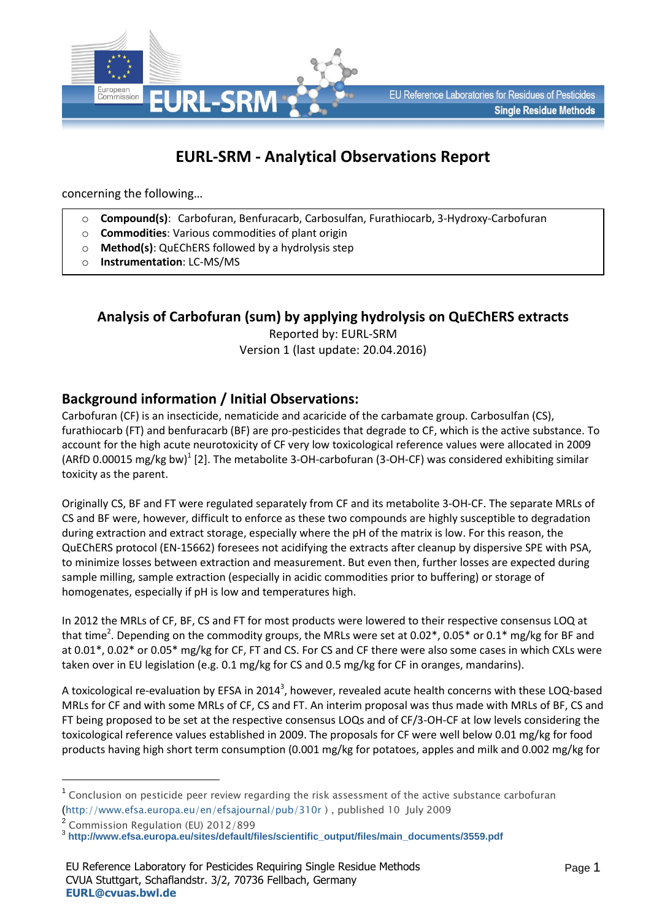

# **EURL-SRM - Analytical Observations Report**

concerning the following…

- o **Compound(s)**: Carbofuran, Benfuracarb, Carbosulfan, Furathiocarb, 3-Hydroxy-Carbofuran
- o **Commodities**: Various commodities of plant origin
- o **Method(s)**: QuEChERS followed by a hydrolysis step
- o **Instrumentation**: LC-MS/MS

### **Analysis of Carbofuran (sum) by applying hydrolysis on QuEChERS extracts**

Reported by: EURL-SRM Version 1 (last update: 20.04.2016)

### **Background information / Initial Observations:**

Carbofuran (CF) is an insecticide, nematicide and acaricide of the carbamate group. Carbosulfan (CS), furathiocarb (FT) and benfuracarb (BF) are pro-pesticides that degrade to CF, which is the active substance. To account for the high acute neurotoxicity of CF very low toxicological reference values were allocated in 2009 (ARfD 0.00015 mg/kg bw)<sup>1</sup> [2]. The metabolite 3-OH-carbofuran (3-OH-CF) was considered exhibiting similar toxicity as the parent.

Originally CS, BF and FT were regulated separately from CF and its metabolite 3-OH-CF. The separate MRLs of CS and BF were, however, difficult to enforce as these two compounds are highly susceptible to degradation during extraction and extract storage, especially where the pH of the matrix is low. For this reason, the QuEChERS protocol (EN-15662) foresees not acidifying the extracts after cleanup by dispersive SPE with PSA, to minimize losses between extraction and measurement. But even then, further losses are expected during sample milling, sample extraction (especially in acidic commodities prior to buffering) or storage of homogenates, especially if pH is low and temperatures high.

In 2012 the MRLs of CF, BF, CS and FT for most products were lowered to their respective consensus LOQ at that time<sup>2</sup>. Depending on the commodity groups, the MRLs were set at 0.02\*, 0.05\* or 0.1\* mg/kg for BF and at 0.01\*, 0.02\* or 0.05\* mg/kg for CF, FT and CS. For CS and CF there were also some cases in which CXLs were taken over in EU legislation (e.g. 0.1 mg/kg for CS and 0.5 mg/kg for CF in oranges, mandarins).

A toxicological re-evaluation by EFSA in 2014<sup>3</sup>, however, revealed acute health concerns with these LOQ-based MRLs for CF and with some MRLs of CF, CS and FT. An interim proposal was thus made with MRLs of BF, CS and FT being proposed to be set at the respective consensus LOQs and of CF/3-OH-CF at low levels considering the toxicological reference values established in 2009. The proposals for CF were well below 0.01 mg/kg for food products having high short term consumption (0.001 mg/kg for potatoes, apples and milk and 0.002 mg/kg for

1

 $^1$  Conclusion on pesticide peer review regarding the risk assessment of the active substance carbofuran (<http://www.efsa.europa.eu/en/efsajournal/pub/310r> ) , published 10 July 2009

<sup>&</sup>lt;sup>2</sup> Commission Regulation (EU) 2012/899

<sup>3</sup> **[http://www.efsa.europa.eu/sites/default/files/scientific\\_output/files/main\\_documents/3559.pdf](http://www.efsa.europa.eu/sites/default/files/scientific_output/files/main_documents/3559.pdf)**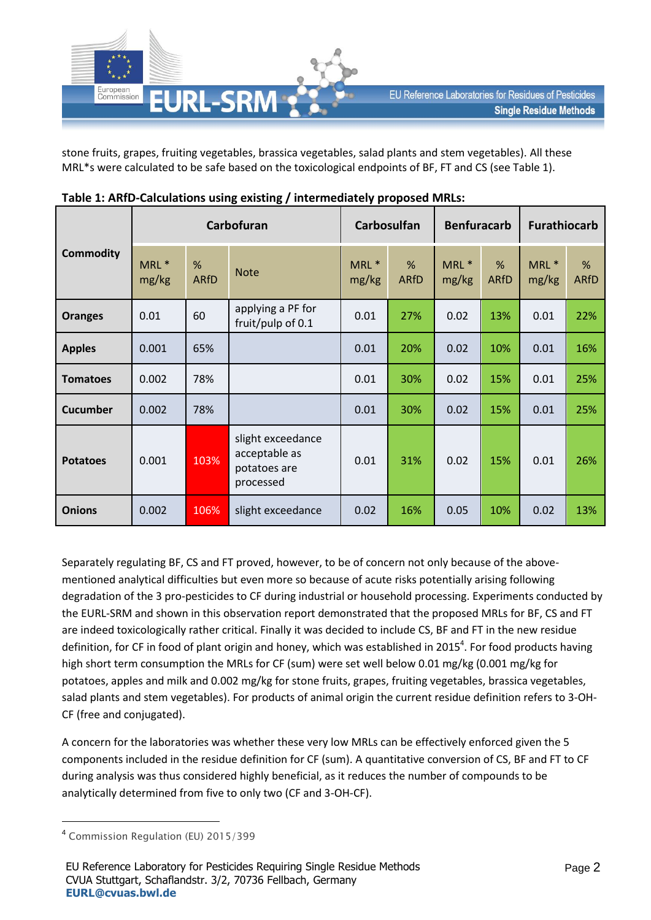

stone fruits, grapes, fruiting vegetables, brassica vegetables, salad plants and stem vegetables). All these MRL\*s were calculated to be safe based on the toxicological endpoints of BF, FT and CS (see Table 1).

|                  | Carbofuran     |                  |                                                                 | <b>Carbosulfan</b>        |                     | <b>Benfuracarb</b> |                  | <b>Furathiocarb</b> |                  |
|------------------|----------------|------------------|-----------------------------------------------------------------|---------------------------|---------------------|--------------------|------------------|---------------------|------------------|
| <b>Commodity</b> | MRL *<br>mg/kg | %<br><b>ARfD</b> | <b>Note</b>                                                     | MRL <sup>*</sup><br>mg/kg | $\%$<br><b>ARfD</b> | MRL *<br>mg/kg     | %<br><b>ARfD</b> | MRL *<br>mg/kg      | %<br><b>ARfD</b> |
| <b>Oranges</b>   | 0.01           | 60               | applying a PF for<br>fruit/pulp of 0.1                          | 0.01                      | 27%                 | 0.02               | 13%              | 0.01                | 22%              |
| <b>Apples</b>    | 0.001          | 65%              |                                                                 | 0.01                      | 20%                 | 0.02               | 10%              | 0.01                | 16%              |
| <b>Tomatoes</b>  | 0.002          | 78%              |                                                                 | 0.01                      | 30%                 | 0.02               | 15%              | 0.01                | 25%              |
| <b>Cucumber</b>  | 0.002          | 78%              |                                                                 | 0.01                      | 30%                 | 0.02               | 15%              | 0.01                | 25%              |
| <b>Potatoes</b>  | 0.001          | 103%             | slight exceedance<br>acceptable as<br>potatoes are<br>processed | 0.01                      | 31%                 | 0.02               | 15%              | 0.01                | 26%              |
| <b>Onions</b>    | 0.002          | 106%             | slight exceedance                                               | 0.02                      | 16%                 | 0.05               | 10%              | 0.02                | 13%              |

Separately regulating BF, CS and FT proved, however, to be of concern not only because of the abovementioned analytical difficulties but even more so because of acute risks potentially arising following degradation of the 3 pro-pesticides to CF during industrial or household processing. Experiments conducted by the EURL-SRM and shown in this observation report demonstrated that the proposed MRLs for BF, CS and FT are indeed toxicologically rather critical. Finally it was decided to include CS, BF and FT in the new residue definition, for CF in food of plant origin and honey, which was established in 2015<sup>4</sup>. For food products having high short term consumption the MRLs for CF (sum) were set well below 0.01 mg/kg (0.001 mg/kg for potatoes, apples and milk and 0.002 mg/kg for stone fruits, grapes, fruiting vegetables, brassica vegetables, salad plants and stem vegetables). For products of animal origin the current residue definition refers to 3-OH-CF (free and conjugated).

A concern for the laboratories was whether these very low MRLs can be effectively enforced given the 5 components included in the residue definition for CF (sum). A quantitative conversion of CS, BF and FT to CF during analysis was thus considered highly beneficial, as it reduces the number of compounds to be analytically determined from five to only two (CF and 3-OH-CF).

**.** 

<sup>4</sup> Commission Regulation (EU) 2015/399

EU Reference Laboratory for Pesticides Requiring Single Residue Methods CVUA Stuttgart, Schaflandstr. 3/2, 70736 Fellbach, Germany **[EURL@cvuas.bwl.de](mailto:CRL@cvuas.bwl.de)**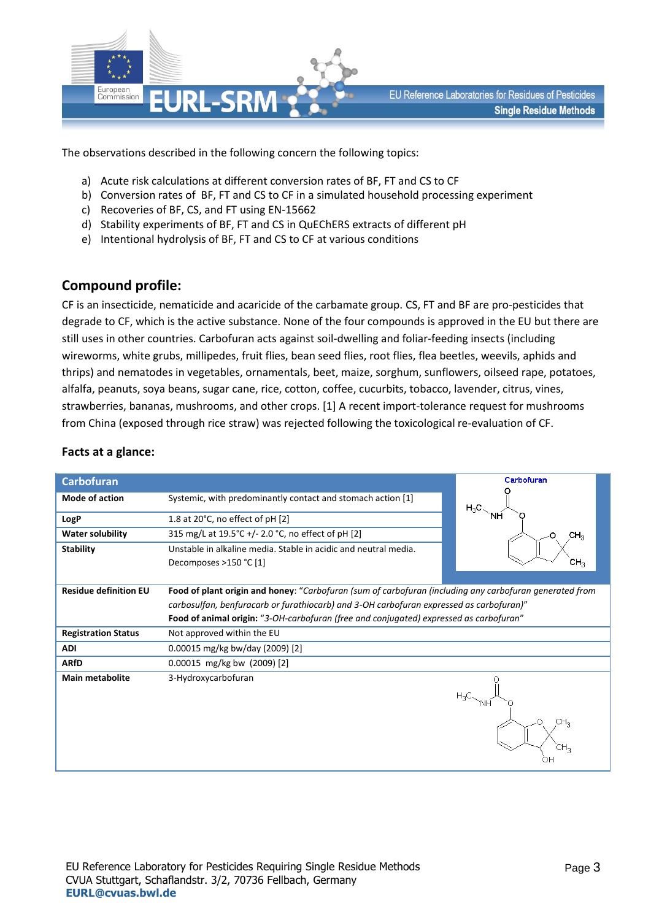

The observations described in the following concern the following topics:

- a) Acute risk calculations at different conversion rates of BF, FT and CS to CF
- b) Conversion rates of BF, FT and CS to CF in a simulated household processing experiment
- c) Recoveries of BF, CS, and FT using EN-15662
- d) Stability experiments of BF, FT and CS in QuEChERS extracts of different pH
- e) Intentional hydrolysis of BF, FT and CS to CF at various conditions

### **Compound profile:**

CF is an insecticide, nematicide and acaricide of the carbamate group. CS, FT and BF are pro-pesticides that degrade to CF, which is the active substance. None of the four compounds is approved in the EU but there are still uses in other countries. Carbofuran acts against soil-dwelling and foliar-feeding insects (including wireworms, white grubs, millipedes, fruit flies, bean seed flies, root flies, flea beetles, weevils, aphids and thrips) and nematodes in vegetables, ornamentals, beet, maize, sorghum, sunflowers, oilseed rape, potatoes, alfalfa, peanuts, soya beans, sugar cane, rice, cotton, coffee, cucurbits, tobacco, lavender, citrus, vines, strawberries, bananas, mushrooms, and other crops. [1] A recent import-tolerance request for mushrooms from China (exposed through rice straw) was rejected following the toxicological re-evaluation of CF.

| <b>Carbofuran</b>            |                                                                                                         | Carbofuran           |
|------------------------------|---------------------------------------------------------------------------------------------------------|----------------------|
| <b>Mode of action</b>        | Systemic, with predominantly contact and stomach action [1]                                             | $H_3C$               |
| LogP                         | 1.8 at 20°C, no effect of pH [2]                                                                        | NΗ                   |
| <b>Water solubility</b>      | 315 mg/L at 19.5°C +/- 2.0 °C, no effect of pH [2]                                                      | CH <sub>3</sub><br>Ω |
| <b>Stability</b>             | Unstable in alkaline media. Stable in acidic and neutral media.<br>Decomposes >150 °C [1]               | CH,                  |
| <b>Residue definition EU</b> | Food of plant origin and honey: "Carbofuran (sum of carbofuran (including any carbofuran generated from |                      |
|                              | carbosulfan, benfuracarb or furathiocarb) and 3-OH carbofuran expressed as carbofuran)"                 |                      |
|                              | Food of animal origin: "3-OH-carbofuran (free and conjugated) expressed as carbofuran"                  |                      |
| <b>Registration Status</b>   | Not approved within the EU                                                                              |                      |
| <b>ADI</b>                   | 0.00015 mg/kg bw/day (2009) [2]                                                                         |                      |
| <b>ARfD</b>                  | $0.00015$ mg/kg bw (2009) [2]                                                                           |                      |
| <b>Main metabolite</b>       | 3-Hydroxycarbofuran                                                                                     | Ω<br>CH <sub>3</sub> |

#### **Facts at a glance:**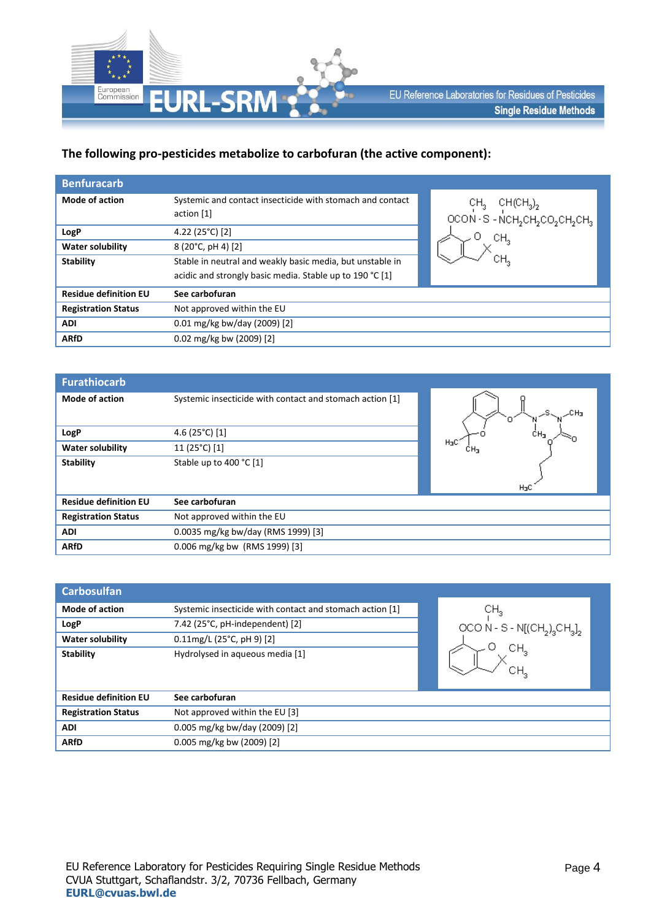

#### **The following pro-pesticides metabolize to carbofuran (the active component):**

| <b>Benfuracarb</b>           |                                                                         |                                                                                                                                         |
|------------------------------|-------------------------------------------------------------------------|-----------------------------------------------------------------------------------------------------------------------------------------|
| <b>Mode of action</b>        | Systemic and contact insecticide with stomach and contact<br>action [1] | $CH_3$ CH(CH <sub>3</sub> ) <sub>2</sub><br>OCON · S - NCH <sub>2</sub> CH <sub>2</sub> CO <sub>2</sub> CH <sub>2</sub> CH <sub>3</sub> |
| LogP                         | 4.22 (25°C) [2]                                                         | CН,                                                                                                                                     |
| <b>Water solubility</b>      | 8 (20°C, pH 4) [2]                                                      |                                                                                                                                         |
| <b>Stability</b>             | Stable in neutral and weakly basic media, but unstable in               | CН,                                                                                                                                     |
|                              | acidic and strongly basic media. Stable up to 190 °C [1]                |                                                                                                                                         |
| <b>Residue definition EU</b> | See carbofuran                                                          |                                                                                                                                         |
| <b>Registration Status</b>   | Not approved within the EU                                              |                                                                                                                                         |
| <b>ADI</b>                   | $0.01$ mg/kg bw/day (2009) [2]                                          |                                                                                                                                         |
| <b>ARfD</b>                  | 0.02 mg/kg bw (2009) [2]                                                |                                                                                                                                         |
|                              |                                                                         |                                                                                                                                         |

| <b>Furathiocarb</b>          |                                                          |                  |
|------------------------------|----------------------------------------------------------|------------------|
| <b>Mode of action</b>        | Systemic insecticide with contact and stomach action [1] |                  |
| LogP                         | 4.6 (25 $°C$ ) [1]                                       |                  |
| <b>Water solubility</b>      | 11 (25°C) [1]                                            | H <sub>3</sub> C |
| <b>Stability</b>             | Stable up to 400 °C [1]                                  | $H_3C$           |
| <b>Residue definition EU</b> | See carbofuran                                           |                  |
| <b>Registration Status</b>   | Not approved within the EU                               |                  |
| <b>ADI</b>                   | 0.0035 mg/kg bw/day (RMS 1999) [3]                       |                  |
| <b>ARfD</b>                  | 0.006 mg/kg bw (RMS 1999) [3]                            |                  |

| <b>Carbosulfan</b>           |                                                          |                             |
|------------------------------|----------------------------------------------------------|-----------------------------|
| <b>Mode of action</b>        | Systemic insecticide with contact and stomach action [1] | CH <sub>3</sub>             |
| LogP                         | 7.42 (25°C, pH-independent) [2]                          | OCO N - S - $N[(CH2)3CH3]2$ |
| <b>Water solubility</b>      | $0.11$ mg/L (25°C, pH 9) [2]                             |                             |
| <b>Stability</b>             | Hydrolysed in aqueous media [1]                          | CH <sub>3</sub><br>CН,      |
| <b>Residue definition EU</b> | See carbofuran                                           |                             |
| <b>Registration Status</b>   | Not approved within the EU [3]                           |                             |
| <b>ADI</b>                   | 0.005 mg/kg bw/day (2009) [2]                            |                             |
| <b>ARfD</b>                  | $0.005$ mg/kg bw (2009) [2]                              |                             |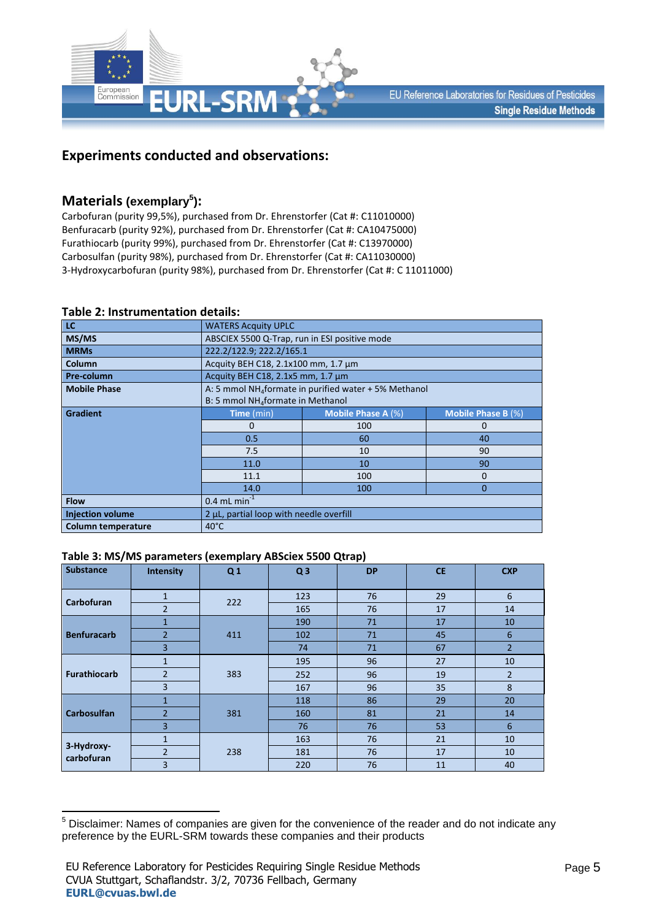

### **Experiments conducted and observations:**

## **Materials (exemplary<sup>5</sup> ):**

Carbofuran (purity 99,5%), purchased from Dr. Ehrenstorfer (Cat #: C11010000) Benfuracarb (purity 92%), purchased from Dr. Ehrenstorfer (Cat #: CA10475000) Furathiocarb (purity 99%), purchased from Dr. Ehrenstorfer (Cat #: C13970000) Carbosulfan (purity 98%), purchased from Dr. Ehrenstorfer (Cat #: CA11030000) 3-Hydroxycarbofuran (purity 98%), purchased from Dr. Ehrenstorfer (Cat #: C 11011000)

| LC                        | <b>WATERS Acquity UPLC</b>                                        |                                               |                           |  |  |  |  |
|---------------------------|-------------------------------------------------------------------|-----------------------------------------------|---------------------------|--|--|--|--|
| MS/MS                     |                                                                   | ABSCIEX 5500 Q-Trap, run in ESI positive mode |                           |  |  |  |  |
| <b>MRMs</b>               | 222.2/122.9; 222.2/165.1                                          |                                               |                           |  |  |  |  |
| Column                    | Acquity BEH C18, 2.1x100 mm, 1.7 µm                               |                                               |                           |  |  |  |  |
| Pre-column                | Acquity BEH C18, 2.1x5 mm, 1.7 µm                                 |                                               |                           |  |  |  |  |
| <b>Mobile Phase</b>       | A: 5 mmol NH <sub>4</sub> formate in purified water + 5% Methanol |                                               |                           |  |  |  |  |
|                           | B: 5 mmol NH <sub>4</sub> formate in Methanol                     |                                               |                           |  |  |  |  |
| <b>Gradient</b>           | Time (min)                                                        | <b>Mobile Phase A (%)</b>                     | <b>Mobile Phase B (%)</b> |  |  |  |  |
|                           | $\Omega$                                                          | 100                                           | 0                         |  |  |  |  |
|                           | 0.5                                                               | 60                                            | 40                        |  |  |  |  |
|                           | 7.5                                                               | 10                                            | 90                        |  |  |  |  |
|                           | 11.0                                                              | 10                                            | 90                        |  |  |  |  |
|                           | 11.1                                                              | 100                                           | $\Omega$                  |  |  |  |  |
|                           | 14.0                                                              | 100                                           | $\Omega$                  |  |  |  |  |
| <b>Flow</b>               | $0.4$ mL min <sup>-1</sup>                                        |                                               |                           |  |  |  |  |
| <b>Injection volume</b>   | 2 µL, partial loop with needle overfill                           |                                               |                           |  |  |  |  |
| <b>Column temperature</b> | $40^{\circ}$ C                                                    |                                               |                           |  |  |  |  |

#### **Table 2: Instrumentation details:**

#### **Table 3: MS/MS parameters (exemplary ABSciex 5500 Qtrap)**

| Substance                | Intensity      | Q <sub>1</sub> | Q <sub>3</sub> | <b>DP</b> | <b>CE</b> | <b>CXP</b>     |
|--------------------------|----------------|----------------|----------------|-----------|-----------|----------------|
| Carbofuran               | $\mathbf{1}$   | 222            | 123            | 76        | 29        | 6              |
|                          | $\overline{2}$ |                | 165            | 76        | 17        | 14             |
|                          | $\mathbf{1}$   |                | 190            | 71        | 17        | 10             |
| <b>Benfuracarb</b>       | $\overline{2}$ | 411            | 102            | 71        | 45        | 6              |
|                          | $\overline{3}$ |                | 74             | 71        | 67        | $\overline{2}$ |
|                          | $\mathbf{1}$   | 383            | 195            | 96        | 27        | 10             |
| <b>Furathiocarb</b>      | $\overline{2}$ |                | 252            | 96        | 19        | $\overline{2}$ |
|                          | $\overline{3}$ |                | 167            | 96        | 35        | 8              |
|                          | 1              |                | 118            | 86        | 29        | 20             |
| <b>Carbosulfan</b>       | $\overline{2}$ | 381            | 160            | 81        | 21        | 14             |
|                          | $\overline{3}$ |                | 76             | 76        | 53        | 6              |
| 3-Hydroxy-<br>carbofuran | 1              |                | 163            | 76        | 21        | 10             |
|                          | $\overline{2}$ | 238            | 181            | 76        | 17        | 10             |
|                          | $\overline{3}$ |                | 220            | 76        | 11        | 40             |

**<sup>.</sup>**  $5$  Disclaimer: Names of companies are given for the convenience of the reader and do not indicate any preference by the EURL-SRM towards these companies and their products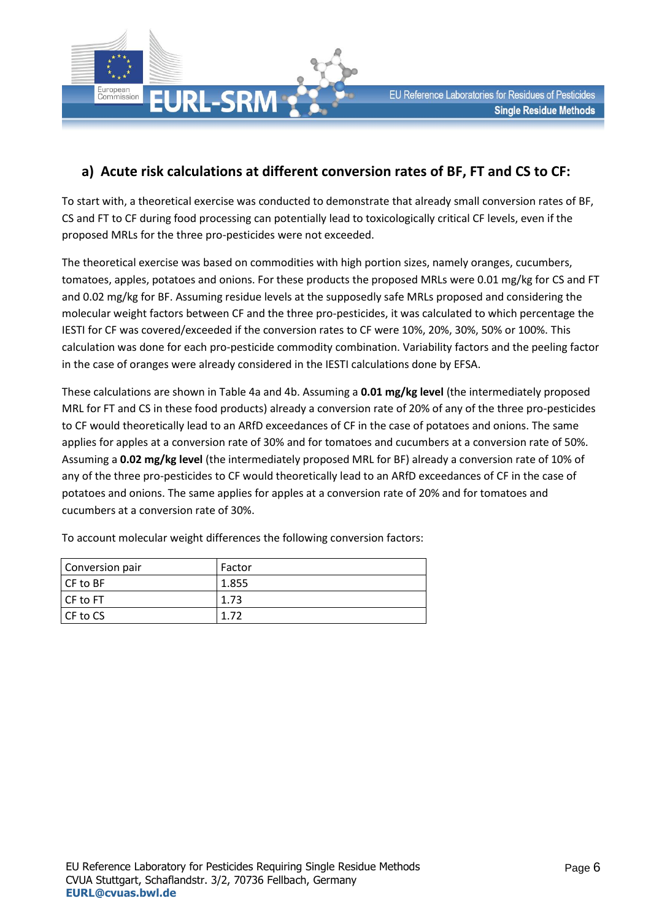

### **a) Acute risk calculations at different conversion rates of BF, FT and CS to CF:**

To start with, a theoretical exercise was conducted to demonstrate that already small conversion rates of BF, CS and FT to CF during food processing can potentially lead to toxicologically critical CF levels, even if the proposed MRLs for the three pro-pesticides were not exceeded.

The theoretical exercise was based on commodities with high portion sizes, namely oranges, cucumbers, tomatoes, apples, potatoes and onions. For these products the proposed MRLs were 0.01 mg/kg for CS and FT and 0.02 mg/kg for BF. Assuming residue levels at the supposedly safe MRLs proposed and considering the molecular weight factors between CF and the three pro-pesticides, it was calculated to which percentage the IESTI for CF was covered/exceeded if the conversion rates to CF were 10%, 20%, 30%, 50% or 100%. This calculation was done for each pro-pesticide commodity combination. Variability factors and the peeling factor in the case of oranges were already considered in the IESTI calculations done by EFSA.

These calculations are shown in Table 4a and 4b. Assuming a **0.01 mg/kg level** (the intermediately proposed MRL for FT and CS in these food products) already a conversion rate of 20% of any of the three pro-pesticides to CF would theoretically lead to an ARfD exceedances of CF in the case of potatoes and onions. The same applies for apples at a conversion rate of 30% and for tomatoes and cucumbers at a conversion rate of 50%. Assuming a **0.02 mg/kg level** (the intermediately proposed MRL for BF) already a conversion rate of 10% of any of the three pro-pesticides to CF would theoretically lead to an ARfD exceedances of CF in the case of potatoes and onions. The same applies for apples at a conversion rate of 20% and for tomatoes and cucumbers at a conversion rate of 30%.

To account molecular weight differences the following conversion factors:

| Conversion pair | Factor |
|-----------------|--------|
| $CF$ to BF      | 1.855  |
| CF to FT        | 1.73   |
| I CF to CS      | 177    |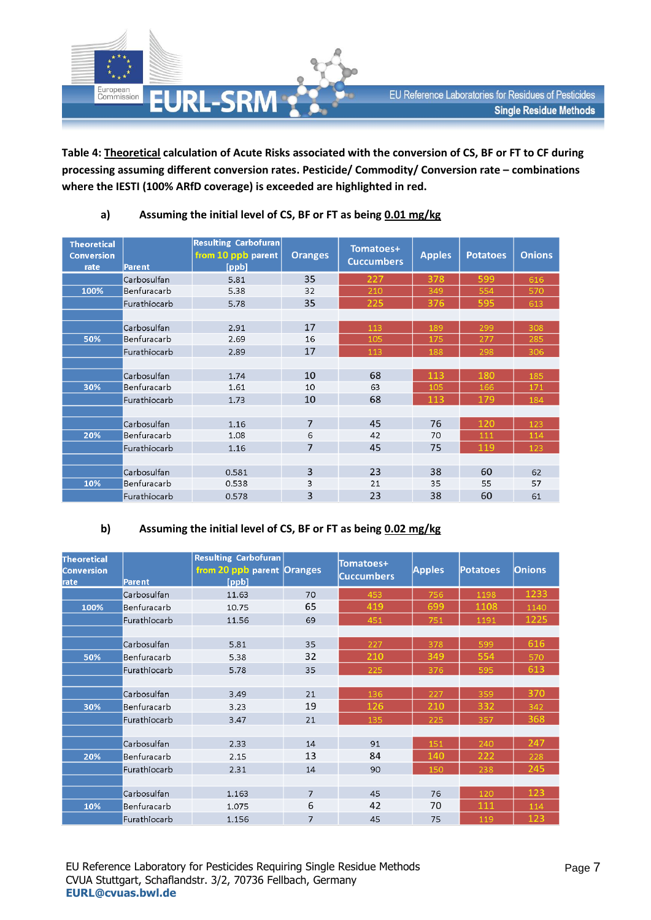

**Table 4: Theoretical calculation of Acute Risks associated with the conversion of CS, BF or FT to CF during processing assuming different conversion rates. Pesticide/ Commodity/ Conversion rate – combinations where the IESTI (100% ARfD coverage) is exceeded are highlighted in red.**

| <b>Theoretical</b><br><b>Conversion</b><br>rate | Parent       | <b>Resulting Carbofuran</b><br>from 10 ppb parent<br>[ppb] | <b>Oranges</b> | Tomatoes+<br><b>Cuccumbers</b> | <b>Apples</b> | <b>Potatoes</b> | <b>Onions</b> |
|-------------------------------------------------|--------------|------------------------------------------------------------|----------------|--------------------------------|---------------|-----------------|---------------|
|                                                 | Carbosulfan  | 5.81                                                       | 35             | 227                            | 378           | 599             | 616           |
| 100%                                            | Benfuracarb  | 5.38                                                       | 32             | 210                            | 349           | 554             | 570           |
|                                                 | Furathiocarb | 5.78                                                       | 35             | 225                            | 376           | 595             | 613           |
|                                                 |              |                                                            |                |                                |               |                 |               |
|                                                 | Carbosulfan  | 2.91                                                       | 17             | 113                            | 189           | 299             | 308           |
| 50%                                             | Benfuracarb  | 2.69                                                       | 16             | 105                            | 175           | 277             | 285           |
|                                                 | Furathiocarb | 2.89                                                       | 17             | 113                            | 188           | 298             | 306           |
|                                                 |              |                                                            |                |                                |               |                 |               |
|                                                 | Carbosulfan  | 1.74                                                       | 68<br>10       |                                | 113           | 180             | 185           |
| 30%                                             | Benfuracarb  | 1.61                                                       | 10             | 63                             | 105           | 166             | 171           |
|                                                 | Furathiocarb | 1.73                                                       | 10             | 68                             | 113           | 179             | 184           |
|                                                 |              |                                                            |                |                                |               |                 |               |
|                                                 | Carbosulfan  | 1.16                                                       | $\overline{7}$ | 45                             | 76            | 120             | 123           |
| 20%                                             | Benfuracarb  | 1.08                                                       | 6              | 42                             | 70            | 111             | 114           |
|                                                 | Furathiocarb | 1.16                                                       | 7              | 45                             | 75            | 119             | 123           |
|                                                 |              |                                                            |                |                                |               |                 |               |
|                                                 | Carbosulfan  | 0.581                                                      | 3              | 23                             | 38            | 60              | 62            |
| 10%                                             | Benfuracarb  | 0.538                                                      | 3              | 21                             | 35            | 55              | 57            |
|                                                 | Furathiocarb | 0.578                                                      | 3              | 23                             | 38            | 60              | 61            |

### **a) Assuming the initial level of CS, BF or FT as being 0.01 mg/kg**

#### **b) Assuming the initial level of CS, BF or FT as being 0.02 mg/kg**

| Theoretical<br><b>Conversion</b><br>Irate | Parent       | <b>Resulting Carbofuran</b><br>from 20 ppb parent Oranges<br>[ppb] |                | Tomatoes+<br><b>Cuccumbers</b> | <b>Apples</b> | <b>Potatoes</b> | <b>Onions</b> |
|-------------------------------------------|--------------|--------------------------------------------------------------------|----------------|--------------------------------|---------------|-----------------|---------------|
|                                           | Carbosulfan  | 11.63                                                              | 70             | 453                            | 756           | 1198            | 1233          |
| 100%                                      | Benfuracarb  | 10.75                                                              | 65             | 419                            | 699           | 1108            | 1140          |
|                                           | Furathiocarb | 11.56                                                              | 69             | 451                            | 751           | 1191            | 1225          |
|                                           |              |                                                                    |                |                                |               |                 |               |
|                                           | Carbosulfan  | 5.81                                                               | 35             | 227                            | 378           | 599             | 616           |
| 50%                                       | Benfuracarb  | 5.38                                                               | 32             | 210                            | 349           | 554             | 570           |
|                                           | Furathiocarb | 5.78                                                               | 35             | 225                            | 376           | 595             | 613           |
|                                           |              |                                                                    |                |                                |               |                 |               |
|                                           | Carbosulfan  | 3.49                                                               | 21             | 136                            | 227           | 359             | 370           |
| 30%                                       | Benfuracarb  | 3.23                                                               | 19             | 126                            | 210           | 332             | 342           |
|                                           | Furathiocarb | 3.47                                                               | 21             | 135                            | 225           | 357             | 368           |
|                                           |              |                                                                    |                |                                |               |                 |               |
|                                           | Carbosulfan  | 2.33                                                               | 14             | 91                             | 151           | 240             | 247           |
| 20%                                       | Benfuracarb  | 2.15                                                               | 13             | 84                             | 140           | 222             | 228           |
|                                           | Furathiocarb | 2.31                                                               | 14             | 90                             | 150           | 238             | 245           |
|                                           |              |                                                                    |                |                                |               |                 |               |
|                                           | Carbosulfan  | 1.163                                                              | $\overline{7}$ | 45<br>76                       |               | 120             | 123           |
| 10%                                       | Benfuracarb  | 1.075                                                              | 6              | 42                             | 70            | 111             | 114           |
|                                           | Furathiocarb | 1.156                                                              | $\overline{7}$ | 45                             | 75            | 119             | 123           |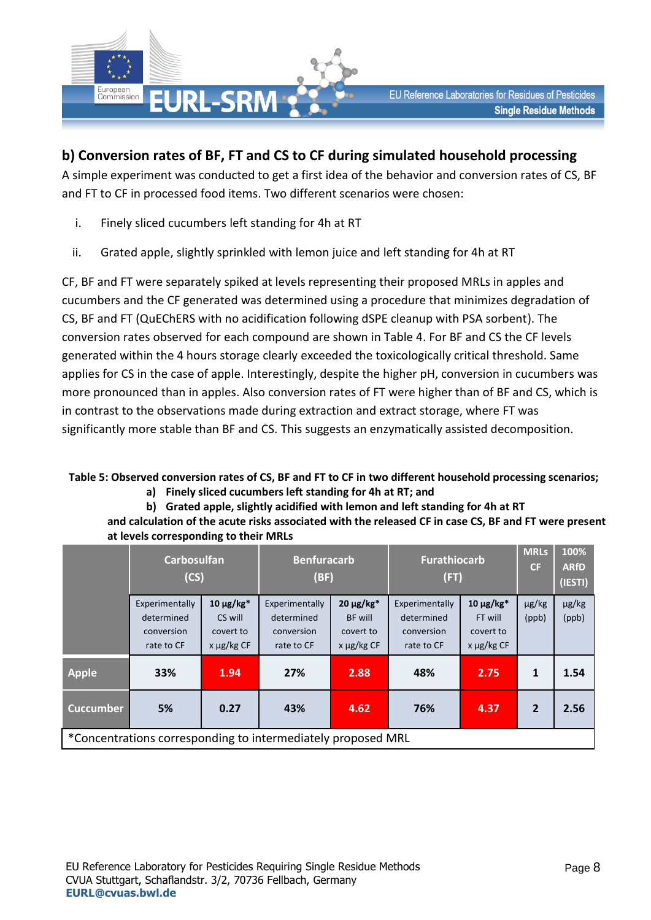

## **b) Conversion rates of BF, FT and CS to CF during simulated household processing**

A simple experiment was conducted to get a first idea of the behavior and conversion rates of CS, BF and FT to CF in processed food items. Two different scenarios were chosen:

- i. Finely sliced cucumbers left standing for 4h at RT
- ii. Grated apple, slightly sprinkled with lemon juice and left standing for 4h at RT

CF, BF and FT were separately spiked at levels representing their proposed MRLs in apples and cucumbers and the CF generated was determined using a procedure that minimizes degradation of CS, BF and FT (QuEChERS with no acidification following dSPE cleanup with PSA sorbent). The conversion rates observed for each compound are shown in Table 4. For BF and CS the CF levels generated within the 4 hours storage clearly exceeded the toxicologically critical threshold. Same applies for CS in the case of apple. Interestingly, despite the higher pH, conversion in cucumbers was more pronounced than in apples. Also conversion rates of FT were higher than of BF and CS, which is in contrast to the observations made during extraction and extract storage, where FT was significantly more stable than BF and CS. This suggests an enzymatically assisted decomposition.

#### **Table 5: Observed conversion rates of CS, BF and FT to CF in two different household processing scenarios; a) Finely sliced cucumbers left standing for 4h at RT; and**

**b) Grated apple, slightly acidified with lemon and left standing for 4h at RT** 

**and calculation of the acute risks associated with the released CF in case CS, BF and FT were present at levels corresponding to their MRLs**

|                  | <b>Carbosulfan</b><br>(CS)                                   |                                                         | <b>Benfuracarb</b><br>(BF)                               |                                                           | <b>Furathiocarb</b><br>(FT)                              |                                                           | <b>MRLs</b><br>CF   | 100%<br><b>ARfD</b><br>(IESTI) |
|------------------|--------------------------------------------------------------|---------------------------------------------------------|----------------------------------------------------------|-----------------------------------------------------------|----------------------------------------------------------|-----------------------------------------------------------|---------------------|--------------------------------|
|                  | Experimentally<br>determined<br>conversion<br>rate to CF     | 10 μg/kg $*$<br>CS will<br>covert to<br>$x \mu g/kg CF$ | Experimentally<br>determined<br>conversion<br>rate to CF | $20 \mu g/kg*$<br>BF will<br>covert to<br>$x \mu g/kg CF$ | Experimentally<br>determined<br>conversion<br>rate to CF | $10 \mu g/kg*$<br>FT will<br>covert to<br>$x \mu g/kg CF$ | $\mu$ g/kg<br>(ppb) | µg/kg<br>(ppb)                 |
| <b>Apple</b>     | 33%                                                          | 1.94                                                    | 27%                                                      | 2.88                                                      | 48%                                                      | 2.75                                                      | 1                   | 1.54                           |
| <b>Cuccumber</b> | 5%                                                           | 0.27                                                    | 43%                                                      | 4.62                                                      | 76%                                                      | 4.37                                                      | $\overline{2}$      | 2.56                           |
|                  | *Concentrations corresponding to intermediately proposed MRL |                                                         |                                                          |                                                           |                                                          |                                                           |                     |                                |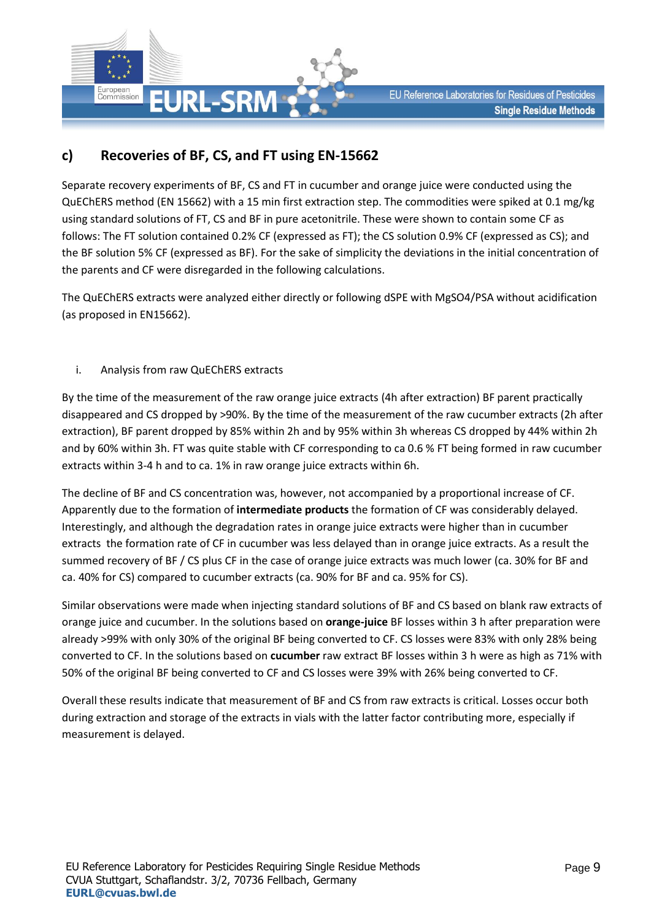

## **c) Recoveries of BF, CS, and FT using EN-15662**

Separate recovery experiments of BF, CS and FT in cucumber and orange juice were conducted using the QuEChERS method (EN 15662) with a 15 min first extraction step. The commodities were spiked at 0.1 mg/kg using standard solutions of FT, CS and BF in pure acetonitrile. These were shown to contain some CF as follows: The FT solution contained 0.2% CF (expressed as FT); the CS solution 0.9% CF (expressed as CS); and the BF solution 5% CF (expressed as BF). For the sake of simplicity the deviations in the initial concentration of the parents and CF were disregarded in the following calculations.

The QuEChERS extracts were analyzed either directly or following dSPE with MgSO4/PSA without acidification (as proposed in EN15662).

i. Analysis from raw QuEChERS extracts

By the time of the measurement of the raw orange juice extracts (4h after extraction) BF parent practically disappeared and CS dropped by >90%. By the time of the measurement of the raw cucumber extracts (2h after extraction), BF parent dropped by 85% within 2h and by 95% within 3h whereas CS dropped by 44% within 2h and by 60% within 3h. FT was quite stable with CF corresponding to ca 0.6 % FT being formed in raw cucumber extracts within 3-4 h and to ca. 1% in raw orange juice extracts within 6h.

The decline of BF and CS concentration was, however, not accompanied by a proportional increase of CF. Apparently due to the formation of **intermediate products** the formation of CF was considerably delayed. Interestingly, and although the degradation rates in orange juice extracts were higher than in cucumber extracts the formation rate of CF in cucumber was less delayed than in orange juice extracts. As a result the summed recovery of BF / CS plus CF in the case of orange juice extracts was much lower (ca. 30% for BF and ca. 40% for CS) compared to cucumber extracts (ca. 90% for BF and ca. 95% for CS).

Similar observations were made when injecting standard solutions of BF and CS based on blank raw extracts of orange juice and cucumber. In the solutions based on **orange-juice** BF losses within 3 h after preparation were already >99% with only 30% of the original BF being converted to CF. CS losses were 83% with only 28% being converted to CF. In the solutions based on **cucumber** raw extract BF losses within 3 h were as high as 71% with 50% of the original BF being converted to CF and CS losses were 39% with 26% being converted to CF.

Overall these results indicate that measurement of BF and CS from raw extracts is critical. Losses occur both during extraction and storage of the extracts in vials with the latter factor contributing more, especially if measurement is delayed.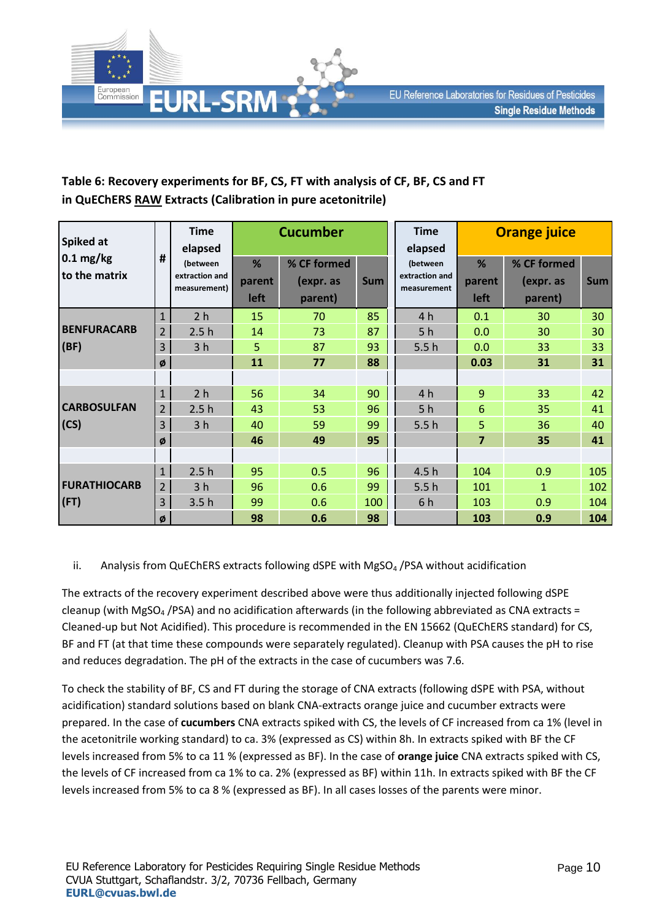

### **Table 6: Recovery experiments for BF, CS, FT with analysis of CF, BF, CS and FT in QuEChERS RAW Extracts (Calibration in pure acetonitrile)**

| <b>Spiked at</b>                     | #              | <b>Time</b><br>elapsed                             | <b>Cucumber</b>     |                                     |            | <b>Time</b><br>elapsed                    | <b>Orange juice</b> |                                     |            |
|--------------------------------------|----------------|----------------------------------------------------|---------------------|-------------------------------------|------------|-------------------------------------------|---------------------|-------------------------------------|------------|
| $0.1 \text{ mg/kg}$<br>to the matrix |                | <i>(between)</i><br>extraction and<br>measurement) | %<br>parent<br>left | % CF formed<br>(expr. as<br>parent) | <b>Sum</b> | (between<br>extraction and<br>measurement | %<br>parent<br>left | % CF formed<br>(expr. as<br>parent) | <b>Sum</b> |
|                                      | $\mathbf{1}$   | 2 <sub>h</sub>                                     | 15                  | 70                                  | 85         | 4 h                                       | 0.1                 | 30                                  | 30         |
| <b>BENFURACARB</b>                   | 2              | 2.5h                                               | 14                  | 73                                  | 87         | 5 <sub>h</sub>                            | 0.0                 | 30                                  | 30         |
| (BF)                                 | 3              | 3 <sub>h</sub>                                     | 5                   | 87                                  | 93         | 5.5h                                      | 0.0                 | 33                                  | 33         |
|                                      | ø              |                                                    | 11                  | 77                                  | 88         |                                           | 0.03                | 31                                  | 31         |
|                                      |                |                                                    |                     |                                     |            |                                           |                     |                                     |            |
|                                      | 1              | 2 <sub>h</sub>                                     | 56                  | 34                                  | 90         | 4 h                                       | 9                   | 33                                  | 42         |
| <b>CARBOSULFAN</b>                   | $\overline{2}$ | 2.5h                                               | 43                  | 53                                  | 96         | 5 <sub>h</sub>                            | 6                   | 35                                  | 41         |
| (CS)                                 | 3              | 3 <sub>h</sub>                                     | 40                  | 59                                  | 99         | 5.5h                                      | 5                   | 36                                  | 40         |
|                                      | ø              |                                                    | 46                  | 49                                  | 95         |                                           | $\overline{7}$      | 35                                  | 41         |
|                                      |                |                                                    |                     |                                     |            |                                           |                     |                                     |            |
| <b>FURATHIOCARB</b><br>(FT)          | 1              | 2.5h                                               | 95                  | 0.5                                 | 96         | 4.5h                                      | 104                 | 0.9                                 | 105        |
|                                      | $\overline{2}$ | 3 <sub>h</sub>                                     | 96                  | 0.6                                 | 99         | 5.5h                                      | 101                 | $\mathbf{1}$                        | 102        |
|                                      | 3              | 3.5h                                               | 99                  | 0.6                                 | 100        | 6h                                        | 103                 | 0.9                                 | 104        |
|                                      | ø              |                                                    | 98                  | 0.6                                 | 98         |                                           | 103                 | 0.9                                 | 104        |

ii. Analysis from QuEChERS extracts following dSPE with MgSO<sub>4</sub> /PSA without acidification

The extracts of the recovery experiment described above were thus additionally injected following dSPE cleanup (with MgSO<sub>4</sub> /PSA) and no acidification afterwards (in the following abbreviated as CNA extracts = Cleaned-up but Not Acidified). This procedure is recommended in the EN 15662 (QuEChERS standard) for CS, BF and FT (at that time these compounds were separately regulated). Cleanup with PSA causes the pH to rise and reduces degradation. The pH of the extracts in the case of cucumbers was 7.6.

To check the stability of BF, CS and FT during the storage of CNA extracts (following dSPE with PSA, without acidification) standard solutions based on blank CNA-extracts orange juice and cucumber extracts were prepared. In the case of **cucumbers** CNA extracts spiked with CS, the levels of CF increased from ca 1% (level in the acetonitrile working standard) to ca. 3% (expressed as CS) within 8h. In extracts spiked with BF the CF levels increased from 5% to ca 11 % (expressed as BF). In the case of **orange juice** CNA extracts spiked with CS, the levels of CF increased from ca 1% to ca. 2% (expressed as BF) within 11h. In extracts spiked with BF the CF levels increased from 5% to ca 8 % (expressed as BF). In all cases losses of the parents were minor.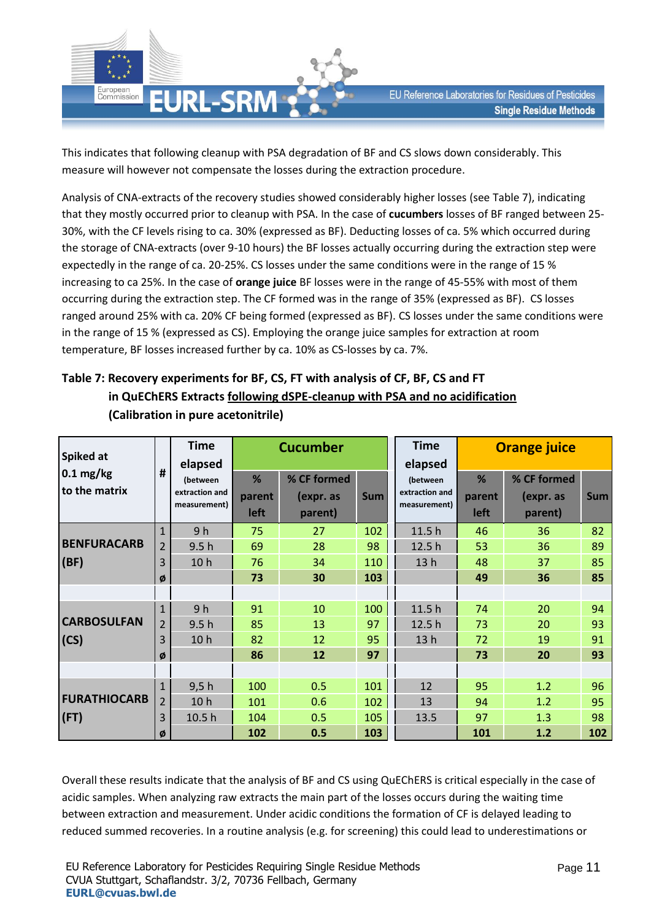

This indicates that following cleanup with PSA degradation of BF and CS slows down considerably. This measure will however not compensate the losses during the extraction procedure.

Analysis of CNA-extracts of the recovery studies showed considerably higher losses (see Table 7), indicating that they mostly occurred prior to cleanup with PSA. In the case of **cucumbers** losses of BF ranged between 25- 30%, with the CF levels rising to ca. 30% (expressed as BF). Deducting losses of ca. 5% which occurred during the storage of CNA-extracts (over 9-10 hours) the BF losses actually occurring during the extraction step were expectedly in the range of ca. 20-25%. CS losses under the same conditions were in the range of 15 % increasing to ca 25%. In the case of **orange juice** BF losses were in the range of 45-55% with most of them occurring during the extraction step. The CF formed was in the range of 35% (expressed as BF). CS losses ranged around 25% with ca. 20% CF being formed (expressed as BF). CS losses under the same conditions were in the range of 15 % (expressed as CS). Employing the orange juice samples for extraction at room temperature, BF losses increased further by ca. 10% as CS-losses by ca. 7%.

### **Table 7: Recovery experiments for BF, CS, FT with analysis of CF, BF, CS and FT in QuEChERS Extracts following dSPE-cleanup with PSA and no acidification (Calibration in pure acetonitrile)**

| Spiked at                            | #              | <b>Time</b>                                           | <b>Cucumber</b>     |                                     |            | <b>Time</b><br>elapsed                     | <b>Orange juice</b> |                                     |            |
|--------------------------------------|----------------|-------------------------------------------------------|---------------------|-------------------------------------|------------|--------------------------------------------|---------------------|-------------------------------------|------------|
| $0.1 \text{ mg/kg}$<br>to the matrix |                | elapsed<br>(between<br>extraction and<br>measurement) | %<br>parent<br>left | % CF formed<br>(expr. as<br>parent) | <b>Sum</b> | (between<br>extraction and<br>measurement) | %<br>parent<br>left | % CF formed<br>(expr. as<br>parent) | <b>Sum</b> |
|                                      | $\mathbf{1}$   | 9 <sub>h</sub>                                        | 75                  | 27                                  | 102        | 11.5h                                      | 46                  | 36                                  | 82         |
| <b>BENFURACARB</b>                   | 2              | 9.5h                                                  | 69                  | 28                                  | 98         | 12.5h                                      | 53                  | 36                                  | 89         |
| (BF)                                 | 3              | 10 <sub>h</sub>                                       | 76                  | 34                                  | 110        | 13h                                        | 48                  | 37                                  | 85         |
|                                      | ø              |                                                       | 73                  | 30                                  | 103        |                                            | 49                  | 36                                  | 85         |
|                                      |                |                                                       |                     |                                     |            |                                            |                     |                                     |            |
|                                      | $\mathbf{1}$   | 9 <sub>h</sub>                                        | 91                  | 10                                  | 100        | 11.5 h                                     | 74                  | 20                                  | 94         |
| <b>CARBOSULFAN</b>                   | 2              | 9.5h                                                  | 85                  | 13                                  | 97         | 12.5h                                      | 73                  | 20                                  | 93         |
| (CS)                                 | 3              | 10 <sub>h</sub>                                       | 82                  | 12                                  | 95         | 13h                                        | 72                  | 19                                  | 91         |
|                                      | ø              |                                                       | 86                  | 12                                  | 97         |                                            | 73                  | 20                                  | 93         |
|                                      |                |                                                       |                     |                                     |            |                                            |                     |                                     |            |
|                                      | 1              | 9,5h                                                  | 100                 | 0.5                                 | 101        | 12                                         | 95                  | 1.2                                 | 96         |
| <b>FURATHIOCARB</b>                  | $\overline{2}$ | 10 <sub>h</sub>                                       | 101                 | 0.6                                 | 102        | 13                                         | 94                  | 1.2                                 | 95         |
| (FT)                                 | 3              | 10.5 <sub>h</sub>                                     | 104                 | 0.5                                 | 105        | 13.5                                       | 97                  | 1.3                                 | 98         |
|                                      | Ø              |                                                       | 102                 | 0.5                                 | 103        |                                            | 101                 | 1.2                                 | 102        |

Overall these results indicate that the analysis of BF and CS using QuEChERS is critical especially in the case of acidic samples. When analyzing raw extracts the main part of the losses occurs during the waiting time between extraction and measurement. Under acidic conditions the formation of CF is delayed leading to reduced summed recoveries. In a routine analysis (e.g. for screening) this could lead to underestimations or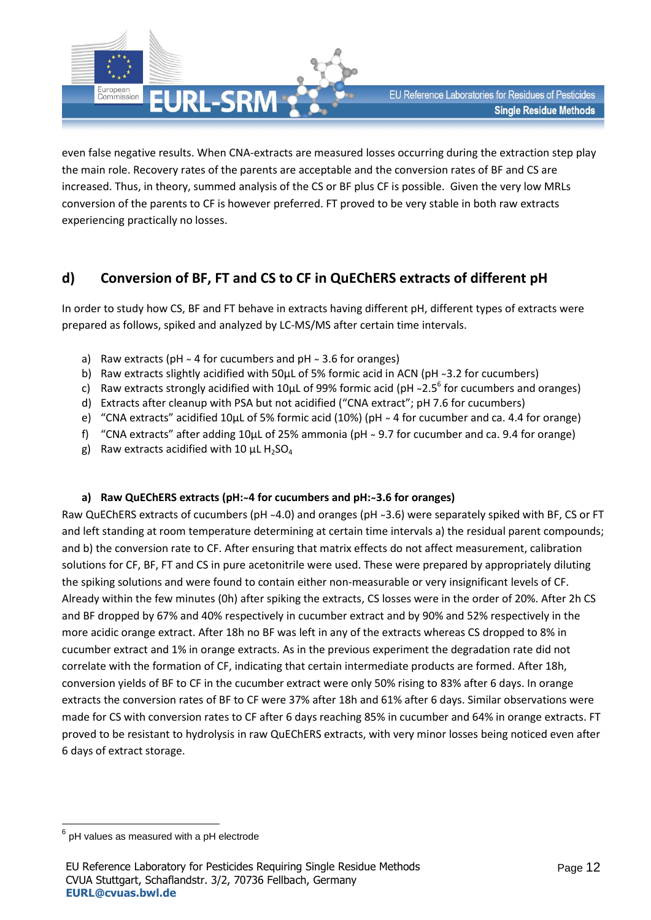

even false negative results. When CNA-extracts are measured losses occurring during the extraction step play the main role. Recovery rates of the parents are acceptable and the conversion rates of BF and CS are increased. Thus, in theory, summed analysis of the CS or BF plus CF is possible. Given the very low MRLs conversion of the parents to CF is however preferred. FT proved to be very stable in both raw extracts experiencing practically no losses.

## **d) Conversion of BF, FT and CS to CF in QuEChERS extracts of different pH**

In order to study how CS, BF and FT behave in extracts having different pH, different types of extracts were prepared as follows, spiked and analyzed by LC-MS/MS after certain time intervals.

- a) Raw extracts (pH  $\sim$  4 for cucumbers and pH  $\sim$  3.6 for oranges)
- b) Raw extracts slightly acidified with 50 $\mu$ L of 5% formic acid in ACN (pH ~3.2 for cucumbers)
- c) Raw extracts strongly acidified with 10 $\mu$ L of 99% formic acid (pH ~2.5<sup>6</sup> for cucumbers and oranges)
- d) Extracts after cleanup with PSA but not acidified ("CNA extract"; pH 7.6 for cucumbers)
- e) "CNA extracts" acidified 10 $\mu$ L of 5% formic acid (10%) ( $pH \sim 4$  for cucumber and ca. 4.4 for orange)
- f) "CNA extracts" after adding  $10\mu$ L of 25% ammonia (pH  $\sim$  9.7 for cucumber and ca. 9.4 for orange)
- g) Raw extracts acidified with 10  $\mu$ L H<sub>2</sub>SO<sub>4</sub>

#### a) Raw QuEChERS extracts (pH:~4 for cucumbers and pH:~3.6 for oranges)

Raw QuEChERS extracts of cucumbers (pH ~4.0) and oranges (pH ~3.6) were separately spiked with BF, CS or FT and left standing at room temperature determining at certain time intervals a) the residual parent compounds; and b) the conversion rate to CF. After ensuring that matrix effects do not affect measurement, calibration solutions for CF, BF, FT and CS in pure acetonitrile were used. These were prepared by appropriately diluting the spiking solutions and were found to contain either non-measurable or very insignificant levels of CF. Already within the few minutes (0h) after spiking the extracts, CS losses were in the order of 20%. After 2h CS and BF dropped by 67% and 40% respectively in cucumber extract and by 90% and 52% respectively in the more acidic orange extract. After 18h no BF was left in any of the extracts whereas CS dropped to 8% in cucumber extract and 1% in orange extracts. As in the previous experiment the degradation rate did not correlate with the formation of CF, indicating that certain intermediate products are formed. After 18h, conversion yields of BF to CF in the cucumber extract were only 50% rising to 83% after 6 days. In orange extracts the conversion rates of BF to CF were 37% after 18h and 61% after 6 days. Similar observations were made for CS with conversion rates to CF after 6 days reaching 85% in cucumber and 64% in orange extracts. FT proved to be resistant to hydrolysis in raw QuEChERS extracts, with very minor losses being noticed even after 6 days of extract storage.

**.** 

<sup>6</sup> pH values as measured with a pH electrode

EU Reference Laboratory for Pesticides Requiring Single Residue Methods CVUA Stuttgart, Schaflandstr. 3/2, 70736 Fellbach, Germany **[EURL@cvuas.bwl.de](mailto:CRL@cvuas.bwl.de)**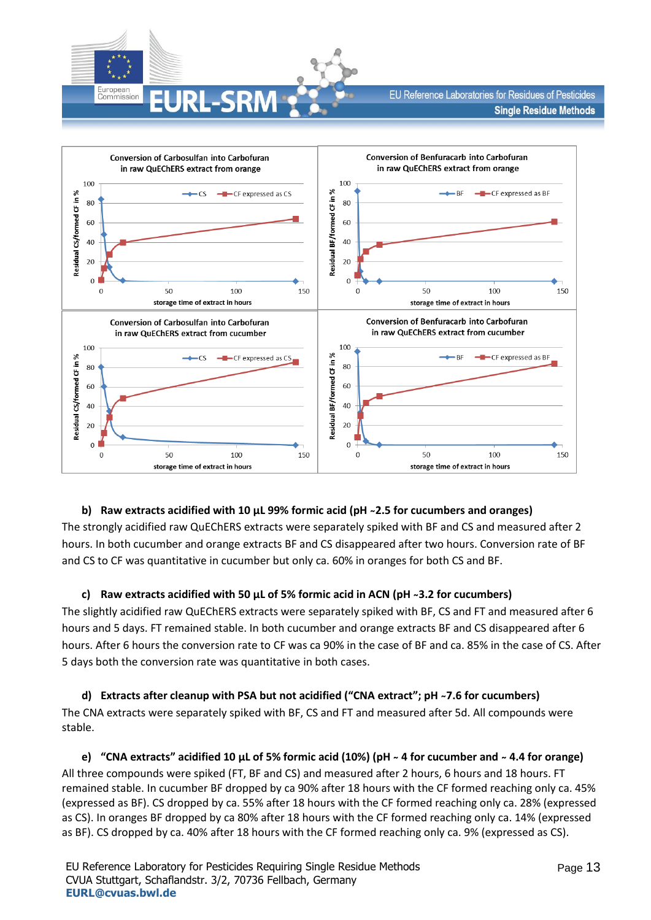



#### **b) Raw extracts acidified with 10 µL 99% formic acid (pH ̴2.5 for cucumbers and oranges)**

The strongly acidified raw QuEChERS extracts were separately spiked with BF and CS and measured after 2 hours. In both cucumber and orange extracts BF and CS disappeared after two hours. Conversion rate of BF and CS to CF was quantitative in cucumber but only ca. 60% in oranges for both CS and BF.

#### **c) Raw extracts acidified with 50 µL of 5% formic acid in ACN (pH ̴3.2 for cucumbers)**

The slightly acidified raw QuEChERS extracts were separately spiked with BF, CS and FT and measured after 6 hours and 5 days. FT remained stable. In both cucumber and orange extracts BF and CS disappeared after 6 hours. After 6 hours the conversion rate to CF was ca 90% in the case of BF and ca. 85% in the case of CS. After 5 days both the conversion rate was quantitative in both cases.

#### **d) Extracts after cleanup with PSA but not acidified ("CNA extract"; pH ̴7.6 for cucumbers)**  The CNA extracts were separately spiked with BF, CS and FT and measured after 5d. All compounds were stable.

**e) "CNA extracts" acidified 10 µL of 5% formic acid (10%) (pH ̴ 4 for cucumber and ̴4.4 for orange)**  All three compounds were spiked (FT, BF and CS) and measured after 2 hours, 6 hours and 18 hours. FT remained stable. In cucumber BF dropped by ca 90% after 18 hours with the CF formed reaching only ca. 45% (expressed as BF). CS dropped by ca. 55% after 18 hours with the CF formed reaching only ca. 28% (expressed as CS). In oranges BF dropped by ca 80% after 18 hours with the CF formed reaching only ca. 14% (expressed as BF). CS dropped by ca. 40% after 18 hours with the CF formed reaching only ca. 9% (expressed as CS).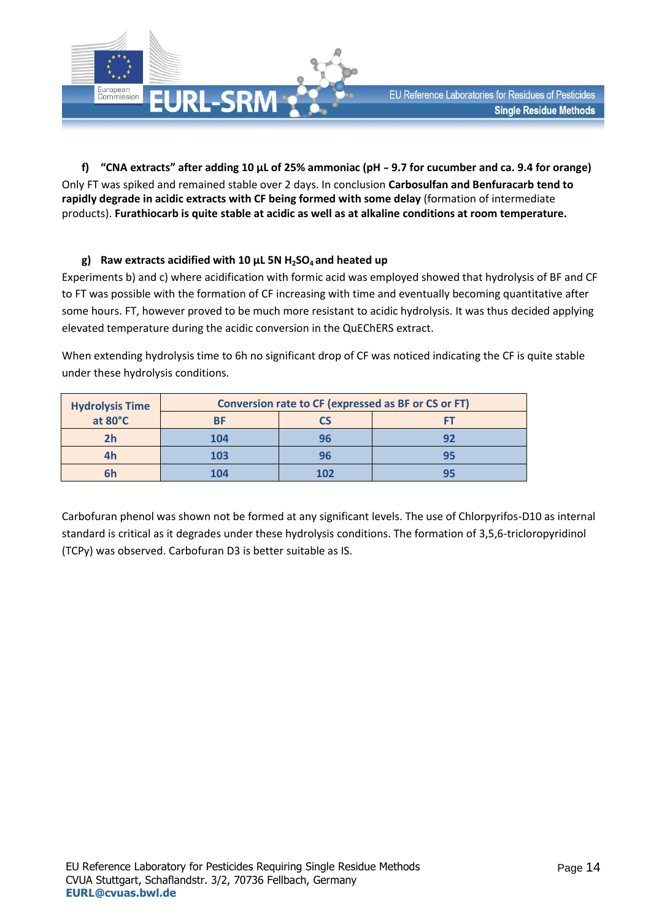

**f) "CNA extracts" after adding 10 µL of 25% ammoniac (pH ̴ 9.7 for cucumber and ca. 9.4 for orange)**  Only FT was spiked and remained stable over 2 days. In conclusion **Carbosulfan and Benfuracarb tend to rapidly degrade in acidic extracts with CF being formed with some delay** (formation of intermediate products). **Furathiocarb is quite stable at acidic as well as at alkaline conditions at room temperature.**

#### **g) Raw extracts acidified with 10 µL 5N H2SO4 and heated up**

Experiments b) and c) where acidification with formic acid was employed showed that hydrolysis of BF and CF to FT was possible with the formation of CF increasing with time and eventually becoming quantitative after some hours. FT, however proved to be much more resistant to acidic hydrolysis. It was thus decided applying elevated temperature during the acidic conversion in the QuEChERS extract.

When extending hydrolysis time to 6h no significant drop of CF was noticed indicating the CF is quite stable under these hydrolysis conditions.

| <b>Hydrolysis Time</b><br>at 80°C | Conversion rate to CF (expressed as BF or CS or FT) |     |           |  |  |  |  |  |
|-----------------------------------|-----------------------------------------------------|-----|-----------|--|--|--|--|--|
|                                   |                                                     |     |           |  |  |  |  |  |
| 2h                                | 104                                                 | 96  | 92        |  |  |  |  |  |
| 4h                                | 103                                                 | 96  | <b>QE</b> |  |  |  |  |  |
| 6h                                | 104                                                 | 102 |           |  |  |  |  |  |

Carbofuran phenol was shown not be formed at any significant levels. The use of Chlorpyrifos-D10 as internal standard is critical as it degrades under these hydrolysis conditions. The formation of 3,5,6-tricloropyridinol (TCPy) was observed. Carbofuran D3 is better suitable as IS.